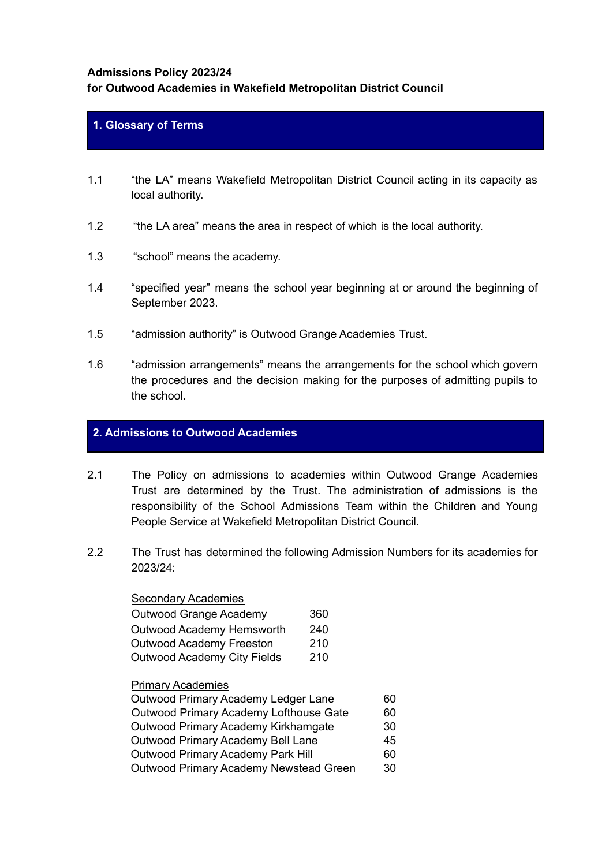## **Admissions Policy 2023/24**

# **for Outwood Academies in Wakefield Metropolitan District Council**

# **1. Glossary of Terms**

- 1.1 "the LA" means Wakefield Metropolitan District Council acting in its capacity as local authority.
- 1.2 "the LA area" means the area in respect of which is the local authority.
- 1.3 "school" means the academy.
- 1.4 "specified year" means the school year beginning at or around the beginning of September 2023.
- 1.5 "admission authority" is Outwood Grange Academies Trust.
- 1.6 "admission arrangements" means the arrangements for the school which govern the procedures and the decision making for the purposes of admitting pupils to the school.

# **2. Admissions to Outwood Academies**

- 2.1 The Policy on admissions to academies within Outwood Grange Academies Trust are determined by the Trust. The administration of admissions is the responsibility of the School Admissions Team within the Children and Young People Service at Wakefield Metropolitan District Council.
- 2.2 The Trust has determined the following Admission Numbers for its academies for 2023/24:

#### Secondary Academies

| Outwood Grange Academy      | 360 |
|-----------------------------|-----|
| Outwood Academy Hemsworth   | 240 |
| Outwood Academy Freeston    | 210 |
| Outwood Academy City Fields | 210 |

# Primary Academies

| Outwood Primary Academy Ledger Lane      | 60 |
|------------------------------------------|----|
| Outwood Primary Academy Lofthouse Gate   | 60 |
| Outwood Primary Academy Kirkhamgate      | 30 |
| Outwood Primary Academy Bell Lane        | 45 |
| <b>Outwood Primary Academy Park Hill</b> | 60 |
| Outwood Primary Academy Newstead Green   | 30 |
|                                          |    |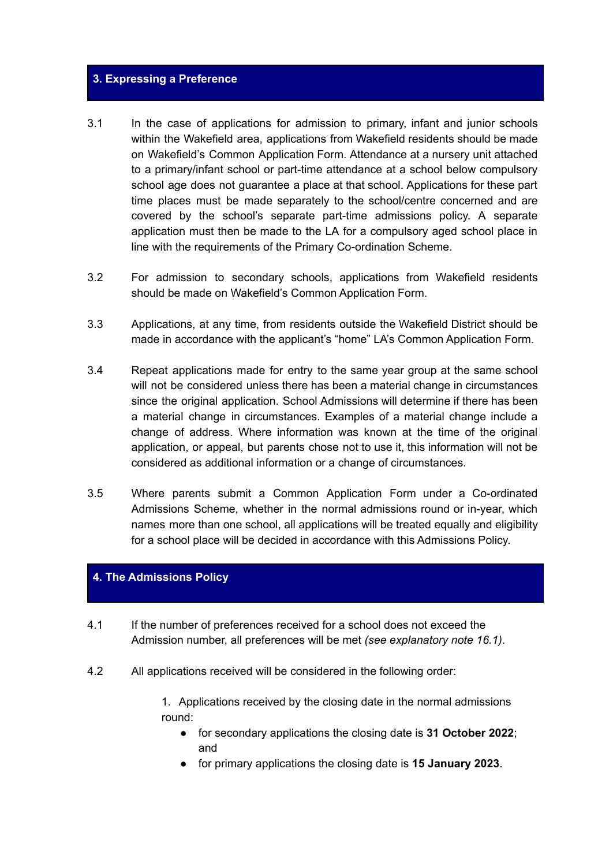#### **3. Expressing a Preference**

- 3.1 In the case of applications for admission to primary, infant and junior schools within the Wakefield area, applications from Wakefield residents should be made on Wakefield's Common Application Form. Attendance at a nursery unit attached to a primary/infant school or part-time attendance at a school below compulsory school age does not guarantee a place at that school. Applications for these part time places must be made separately to the school/centre concerned and are covered by the school's separate part-time admissions policy. A separate application must then be made to the LA for a compulsory aged school place in line with the requirements of the Primary Co-ordination Scheme.
- 3.2 For admission to secondary schools, applications from Wakefield residents should be made on Wakefield's Common Application Form.
- 3.3 Applications, at any time, from residents outside the Wakefield District should be made in accordance with the applicant's "home" LA's Common Application Form.
- 3.4 Repeat applications made for entry to the same year group at the same school will not be considered unless there has been a material change in circumstances since the original application. School Admissions will determine if there has been a material change in circumstances. Examples of a material change include a change of address. Where information was known at the time of the original application, or appeal, but parents chose not to use it, this information will not be considered as additional information or a change of circumstances.
- 3.5 Where parents submit a Common Application Form under a Co-ordinated Admissions Scheme, whether in the normal admissions round or in-year, which names more than one school, all applications will be treated equally and eligibility for a school place will be decided in accordance with this Admissions Policy.

# **4. The Admissions Policy**

- 4.1 If the number of preferences received for a school does not exceed the Admission number, all preferences will be met *(see explanatory note 16.1)*.
- 4.2 All applications received will be considered in the following order:

1. Applications received by the closing date in the normal admissions round:

- for secondary applications the closing date is **31 October 2022**; and
- for primary applications the closing date is **15 January 2023**.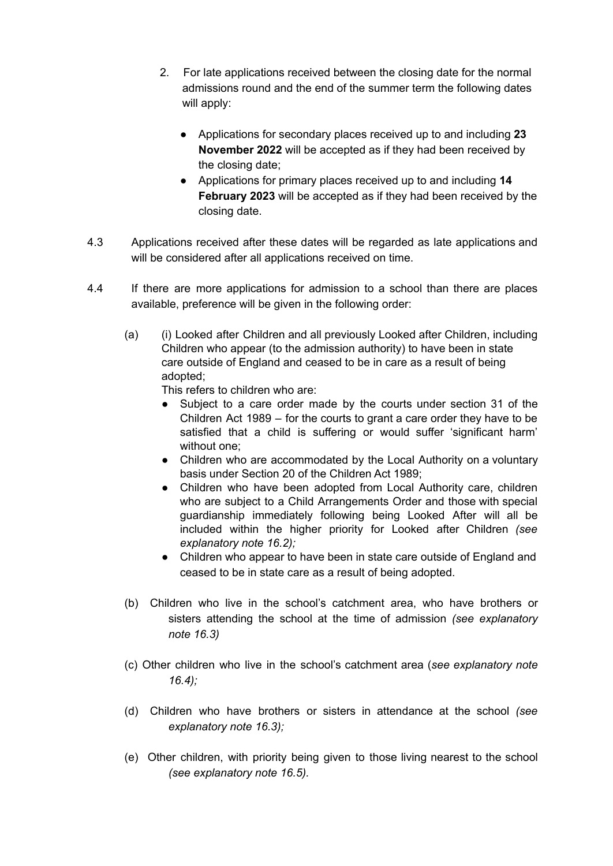- 2. For late applications received between the closing date for the normal admissions round and the end of the summer term the following dates will apply:
	- Applications for secondary places received up to and including **23 November 2022** will be accepted as if they had been received by the closing date;
	- Applications for primary places received up to and including **14 February 2023** will be accepted as if they had been received by the closing date.
- 4.3 Applications received after these dates will be regarded as late applications and will be considered after all applications received on time.
- 4.4 If there are more applications for admission to a school than there are places available, preference will be given in the following order:
	- (a) (i) Looked after Children and all previously Looked after Children, including Children who appear (to the admission authority) to have been in state care outside of England and ceased to be in care as a result of being adopted;

This refers to children who are:

- Subject to a care order made by the courts under section 31 of the Children Act 1989 – for the courts to grant a care order they have to be satisfied that a child is suffering or would suffer 'significant harm' without one:
- Children who are accommodated by the Local Authority on a voluntary basis under Section 20 of the Children Act 1989;
- Children who have been adopted from Local Authority care, children who are subject to a Child Arrangements Order and those with special guardianship immediately following being Looked After will all be included within the higher priority for Looked after Children *(see explanatory note 16.2);*
- *●* Children who appear to have been in state care outside of England and ceased to be in state care as a result of being adopted.
- (b) Children who live in the school's catchment area, who have brothers or sisters attending the school at the time of admission *(see explanatory note 16.3)*
- (c) Other children who live in the school's catchment area (*see explanatory note 16.4);*
- (d) Children who have brothers or sisters in attendance at the school *(see explanatory note 16.3);*
- (e) Other children, with priority being given to those living nearest to the school *(see explanatory note 16.5).*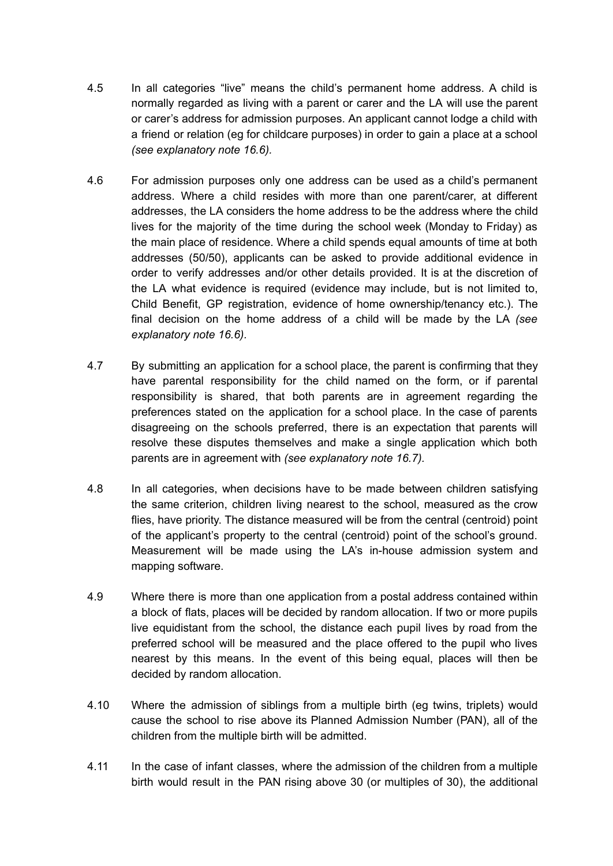- 4.5 In all categories "live" means the child's permanent home address. A child is normally regarded as living with a parent or carer and the LA will use the parent or carer's address for admission purposes. An applicant cannot lodge a child with a friend or relation (eg for childcare purposes) in order to gain a place at a school *(see explanatory note 16.6).*
- 4.6 For admission purposes only one address can be used as a child's permanent address. Where a child resides with more than one parent/carer, at different addresses, the LA considers the home address to be the address where the child lives for the majority of the time during the school week (Monday to Friday) as the main place of residence. Where a child spends equal amounts of time at both addresses (50/50), applicants can be asked to provide additional evidence in order to verify addresses and/or other details provided. It is at the discretion of the LA what evidence is required (evidence may include, but is not limited to, Child Benefit, GP registration, evidence of home ownership/tenancy etc.). The final decision on the home address of a child will be made by the LA *(see explanatory note 16.6).*
- 4.7 By submitting an application for a school place, the parent is confirming that they have parental responsibility for the child named on the form, or if parental responsibility is shared, that both parents are in agreement regarding the preferences stated on the application for a school place. In the case of parents disagreeing on the schools preferred, there is an expectation that parents will resolve these disputes themselves and make a single application which both parents are in agreement with *(see explanatory note 16.7).*
- 4.8 In all categories, when decisions have to be made between children satisfying the same criterion, children living nearest to the school, measured as the crow flies, have priority. The distance measured will be from the central (centroid) point of the applicant's property to the central (centroid) point of the school's ground. Measurement will be made using the LA's in-house admission system and mapping software.
- 4.9 Where there is more than one application from a postal address contained within a block of flats, places will be decided by random allocation. If two or more pupils live equidistant from the school, the distance each pupil lives by road from the preferred school will be measured and the place offered to the pupil who lives nearest by this means. In the event of this being equal, places will then be decided by random allocation.
- 4.10 Where the admission of siblings from a multiple birth (eg twins, triplets) would cause the school to rise above its Planned Admission Number (PAN), all of the children from the multiple birth will be admitted.
- 4.11 In the case of infant classes, where the admission of the children from a multiple birth would result in the PAN rising above 30 (or multiples of 30), the additional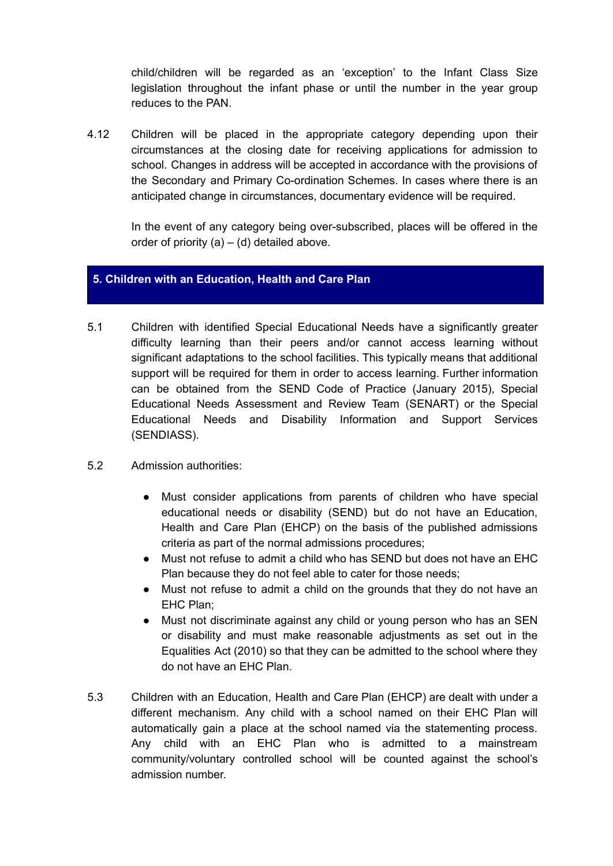child/children will be regarded as an 'exception' to the Infant Class Size legislation throughout the infant phase or until the number in the year group reduces to the PAN.

4.12 Children will be placed in the appropriate category depending upon their circumstances at the closing date for receiving applications for admission to school. Changes in address will be accepted in accordance with the provisions of the Secondary and Primary Co-ordination Schemes. In cases where there is an anticipated change in circumstances, documentary evidence will be required.

In the event of any category being over-subscribed, places will be offered in the order of priority  $(a) - (d)$  detailed above.

# **5. Children with an Education, Health and Care Plan**

- 5.1 Children with identified Special Educational Needs have a significantly greater difficulty learning than their peers and/or cannot access learning without significant adaptations to the school facilities. This typically means that additional support will be required for them in order to access learning. Further information can be obtained from the SEND Code of Practice (January 2015), Special Educational Needs Assessment and Review Team (SENART) or the Special Educational Needs and Disability Information and Support Services (SENDIASS).
- 5.2 Admission authorities:
	- Must consider applications from parents of children who have special educational needs or disability (SEND) but do not have an Education, Health and Care Plan (EHCP) on the basis of the published admissions criteria as part of the normal admissions procedures;
	- Must not refuse to admit a child who has SEND but does not have an EHC Plan because they do not feel able to cater for those needs;
	- Must not refuse to admit a child on the grounds that they do not have an EHC Plan;
	- Must not discriminate against any child or young person who has an SEN or disability and must make reasonable adjustments as set out in the Equalities Act (2010) so that they can be admitted to the school where they do not have an EHC Plan.
- 5.3 Children with an Education, Health and Care Plan (EHCP) are dealt with under a different mechanism. Any child with a school named on their EHC Plan will automatically gain a place at the school named via the statementing process. Any child with an EHC Plan who is admitted to a mainstream community/voluntary controlled school will be counted against the school's admission number.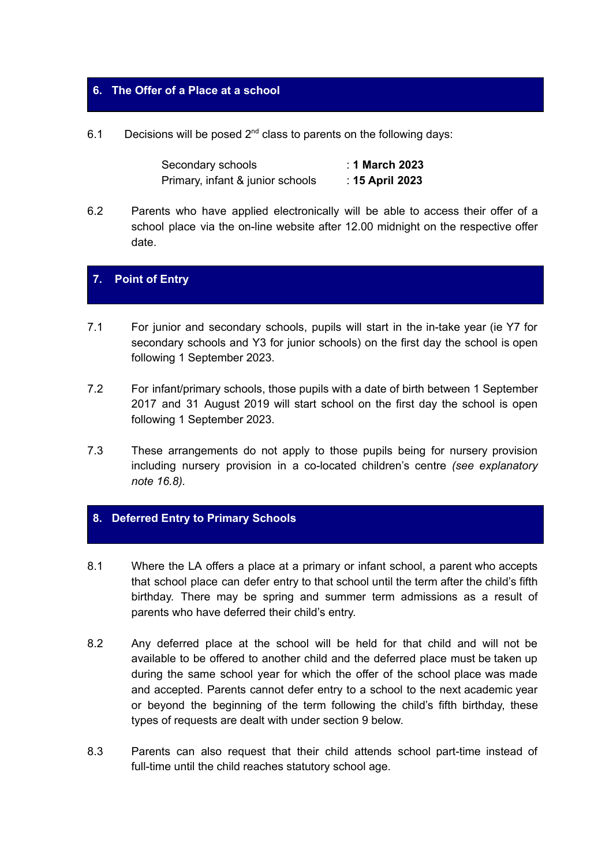# **6. The Offer of a Place at a school**

6.1 Decisions will be posed  $2^{nd}$  class to parents on the following days:

| Secondary schools                | : 1 March 2023  |
|----------------------------------|-----------------|
| Primary, infant & junior schools | : 15 April 2023 |

6.2 Parents who have applied electronically will be able to access their offer of a school place via the on-line website after 12.00 midnight on the respective offer date.

# **7. Point of Entry**

- 7.1 For junior and secondary schools, pupils will start in the in-take year (ie Y7 for secondary schools and Y3 for junior schools) on the first day the school is open following 1 September 2023.
- 7.2 For infant/primary schools, those pupils with a date of birth between 1 September 2017 and 31 August 2019 will start school on the first day the school is open following 1 September 2023.
- 7.3 These arrangements do not apply to those pupils being for nursery provision including nursery provision in a co-located children's centre *(see explanatory note 16.8).*

# **8. Deferred Entry to Primary Schools**

- 8.1 Where the LA offers a place at a primary or infant school, a parent who accepts that school place can defer entry to that school until the term after the child's fifth birthday. There may be spring and summer term admissions as a result of parents who have deferred their child's entry.
- 8.2 Any deferred place at the school will be held for that child and will not be available to be offered to another child and the deferred place must be taken up during the same school year for which the offer of the school place was made and accepted. Parents cannot defer entry to a school to the next academic year or beyond the beginning of the term following the child's fifth birthday, these types of requests are dealt with under section 9 below.
- 8.3 Parents can also request that their child attends school part-time instead of full-time until the child reaches statutory school age.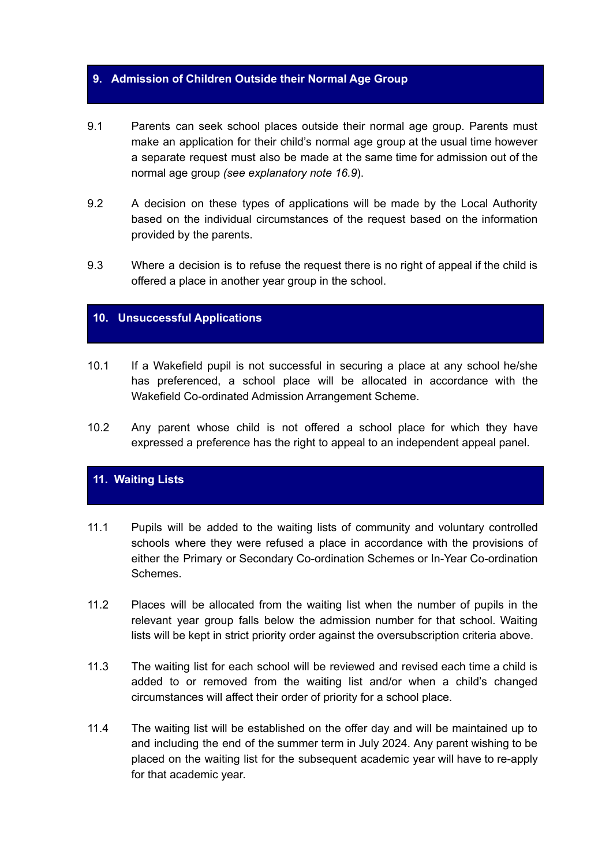## **9. Admission of Children Outside their Normal Age Group**

- 9.1 Parents can seek school places outside their normal age group. Parents must make an application for their child's normal age group at the usual time however a separate request must also be made at the same time for admission out of the normal age group *(see explanatory note 16.9*).
- 9.2 A decision on these types of applications will be made by the Local Authority based on the individual circumstances of the request based on the information provided by the parents.
- 9.3 Where a decision is to refuse the request there is no right of appeal if the child is offered a place in another year group in the school.

# **10. Unsuccessful Applications**

- 10.1 If a Wakefield pupil is not successful in securing a place at any school he/she has preferenced, a school place will be allocated in accordance with the Wakefield Co-ordinated Admission Arrangement Scheme.
- 10.2 Any parent whose child is not offered a school place for which they have expressed a preference has the right to appeal to an independent appeal panel.

# **11. Waiting Lists**

- 11.1 Pupils will be added to the waiting lists of community and voluntary controlled schools where they were refused a place in accordance with the provisions of either the Primary or Secondary Co-ordination Schemes or In-Year Co-ordination Schemes.
- 11.2 Places will be allocated from the waiting list when the number of pupils in the relevant year group falls below the admission number for that school. Waiting lists will be kept in strict priority order against the oversubscription criteria above.
- 11.3 The waiting list for each school will be reviewed and revised each time a child is added to or removed from the waiting list and/or when a child's changed circumstances will affect their order of priority for a school place.
- 11.4 The waiting list will be established on the offer day and will be maintained up to and including the end of the summer term in July 2024. Any parent wishing to be placed on the waiting list for the subsequent academic year will have to re-apply for that academic year.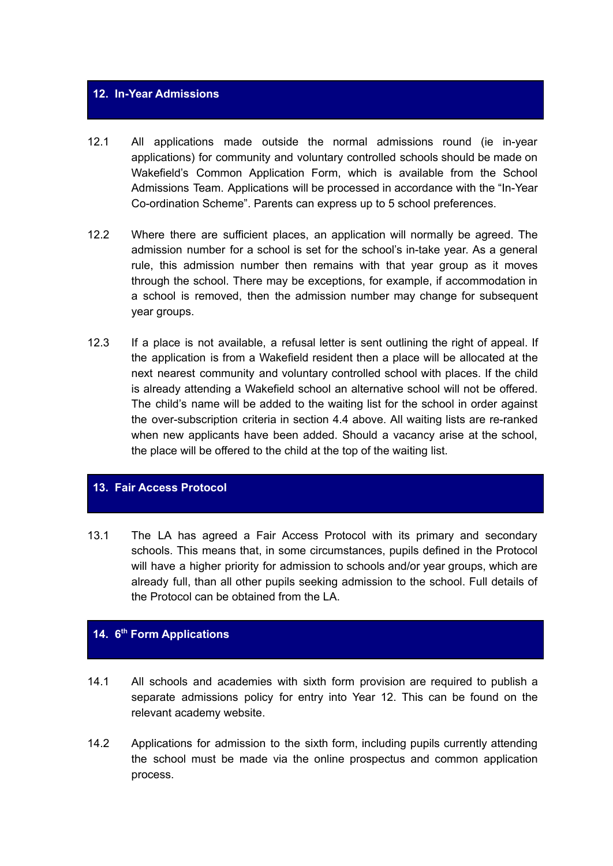# **12. In-Year Admissions**

- 12.1 All applications made outside the normal admissions round (ie in-year applications) for community and voluntary controlled schools should be made on Wakefield's Common Application Form, which is available from the School Admissions Team. Applications will be processed in accordance with the "In-Year Co-ordination Scheme". Parents can express up to 5 school preferences.
- 12.2 Where there are sufficient places, an application will normally be agreed. The admission number for a school is set for the school's in-take year. As a general rule, this admission number then remains with that year group as it moves through the school. There may be exceptions, for example, if accommodation in a school is removed, then the admission number may change for subsequent year groups.
- 12.3 If a place is not available, a refusal letter is sent outlining the right of appeal. If the application is from a Wakefield resident then a place will be allocated at the next nearest community and voluntary controlled school with places. If the child is already attending a Wakefield school an alternative school will not be offered. The child's name will be added to the waiting list for the school in order against the over-subscription criteria in section 4.4 above. All waiting lists are re-ranked when new applicants have been added. Should a vacancy arise at the school, the place will be offered to the child at the top of the waiting list.

## **13. Fair Access Protocol**

13.1 The LA has agreed a Fair Access Protocol with its primary and secondary schools. This means that, in some circumstances, pupils defined in the Protocol will have a higher priority for admission to schools and/or year groups, which are already full, than all other pupils seeking admission to the school. Full details of the Protocol can be obtained from the LA

## **14. 6 th Form Applications**

- 14.1 All schools and academies with sixth form provision are required to publish a separate admissions policy for entry into Year 12. This can be found on the relevant academy website.
- 14.2 Applications for admission to the sixth form, including pupils currently attending the school must be made via the online prospectus and common application process.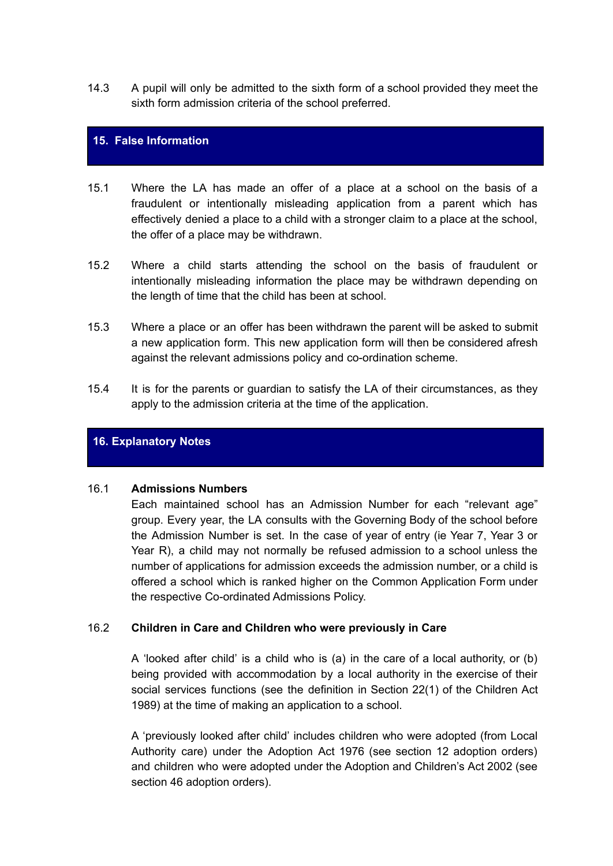14.3 A pupil will only be admitted to the sixth form of a school provided they meet the sixth form admission criteria of the school preferred.

## **15. False Information**

- 15.1 Where the LA has made an offer of a place at a school on the basis of a fraudulent or intentionally misleading application from a parent which has effectively denied a place to a child with a stronger claim to a place at the school, the offer of a place may be withdrawn.
- 15.2 Where a child starts attending the school on the basis of fraudulent or intentionally misleading information the place may be withdrawn depending on the length of time that the child has been at school.
- 15.3 Where a place or an offer has been withdrawn the parent will be asked to submit a new application form. This new application form will then be considered afresh against the relevant admissions policy and co-ordination scheme.
- 15.4 It is for the parents or guardian to satisfy the LA of their circumstances, as they apply to the admission criteria at the time of the application.

## **16. Explanatory Notes**

#### 16.1 **Admissions Numbers**

Each maintained school has an Admission Number for each "relevant age" group. Every year, the LA consults with the Governing Body of the school before the Admission Number is set. In the case of year of entry (ie Year 7, Year 3 or Year R), a child may not normally be refused admission to a school unless the number of applications for admission exceeds the admission number, or a child is offered a school which is ranked higher on the Common Application Form under the respective Co-ordinated Admissions Policy.

## 16.2 **Children in Care and Children who were previously in Care**

A 'looked after child' is a child who is (a) in the care of a local authority, or (b) being provided with accommodation by a local authority in the exercise of their social services functions (see the definition in Section 22(1) of the Children Act 1989) at the time of making an application to a school.

A 'previously looked after child' includes children who were adopted (from Local Authority care) under the Adoption Act 1976 (see section 12 adoption orders) and children who were adopted under the Adoption and Children's Act 2002 (see section 46 adoption orders).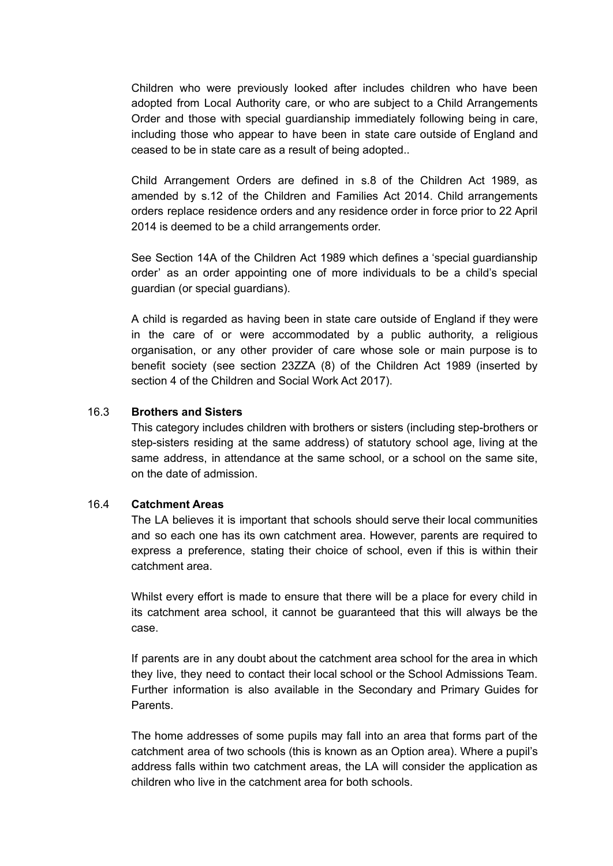Children who were previously looked after includes children who have been adopted from Local Authority care, or who are subject to a Child Arrangements Order and those with special guardianship immediately following being in care, including those who appear to have been in state care outside of England and ceased to be in state care as a result of being adopted..

Child Arrangement Orders are defined in s.8 of the Children Act 1989, as amended by s.12 of the Children and Families Act 2014. Child arrangements orders replace residence orders and any residence order in force prior to 22 April 2014 is deemed to be a child arrangements order.

See Section 14A of the Children Act 1989 which defines a 'special guardianship order' as an order appointing one of more individuals to be a child's special guardian (or special guardians).

A child is regarded as having been in state care outside of England if they were in the care of or were accommodated by a public authority, a religious organisation, or any other provider of care whose sole or main purpose is to benefit society (see section 23ZZA (8) of the Children Act 1989 (inserted by section 4 of the Children and Social Work Act 2017).

## 16.3 **Brothers and Sisters**

This category includes children with brothers or sisters (including step-brothers or step-sisters residing at the same address) of statutory school age, living at the same address, in attendance at the same school, or a school on the same site, on the date of admission.

# 16.4 **Catchment Areas**

The LA believes it is important that schools should serve their local communities and so each one has its own catchment area. However, parents are required to express a preference, stating their choice of school, even if this is within their catchment area.

Whilst every effort is made to ensure that there will be a place for every child in its catchment area school, it cannot be guaranteed that this will always be the case.

If parents are in any doubt about the catchment area school for the area in which they live, they need to contact their local school or the School Admissions Team. Further information is also available in the Secondary and Primary Guides for Parents.

The home addresses of some pupils may fall into an area that forms part of the catchment area of two schools (this is known as an Option area). Where a pupil's address falls within two catchment areas, the LA will consider the application as children who live in the catchment area for both schools.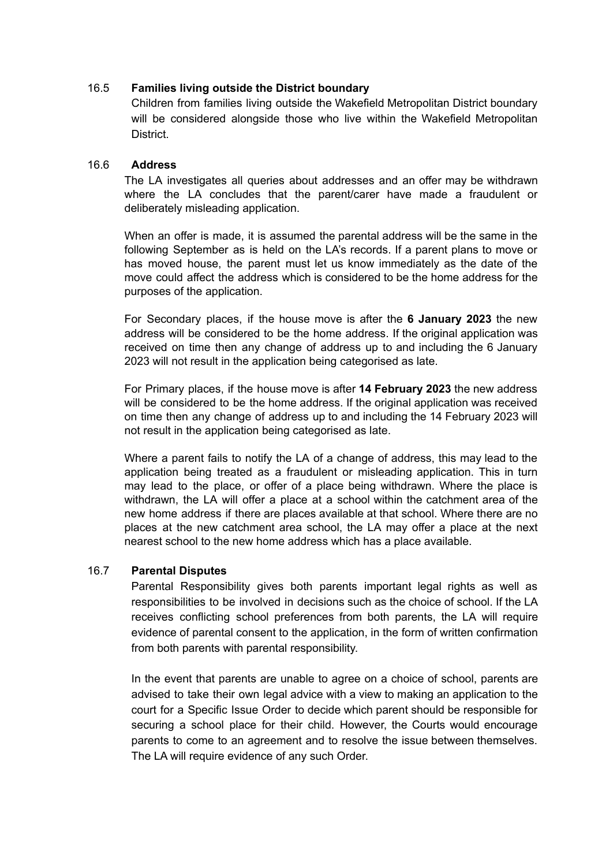# 16.5 **Families living outside the District boundary**

Children from families living outside the Wakefield Metropolitan District boundary will be considered alongside those who live within the Wakefield Metropolitan **District** 

## 16.6 **Address**

The LA investigates all queries about addresses and an offer may be withdrawn where the LA concludes that the parent/carer have made a fraudulent or deliberately misleading application.

When an offer is made, it is assumed the parental address will be the same in the following September as is held on the LA's records. If a parent plans to move or has moved house, the parent must let us know immediately as the date of the move could affect the address which is considered to be the home address for the purposes of the application.

For Secondary places, if the house move is after the **6 January 2023** the new address will be considered to be the home address. If the original application was received on time then any change of address up to and including the 6 January 2023 will not result in the application being categorised as late.

For Primary places, if the house move is after **14 February 2023** the new address will be considered to be the home address. If the original application was received on time then any change of address up to and including the 14 February 2023 will not result in the application being categorised as late.

Where a parent fails to notify the LA of a change of address, this may lead to the application being treated as a fraudulent or misleading application. This in turn may lead to the place, or offer of a place being withdrawn. Where the place is withdrawn, the LA will offer a place at a school within the catchment area of the new home address if there are places available at that school. Where there are no places at the new catchment area school, the LA may offer a place at the next nearest school to the new home address which has a place available.

## 16.7 **Parental Disputes**

Parental Responsibility gives both parents important legal rights as well as responsibilities to be involved in decisions such as the choice of school. If the LA receives conflicting school preferences from both parents, the LA will require evidence of parental consent to the application, in the form of written confirmation from both parents with parental responsibility.

In the event that parents are unable to agree on a choice of school, parents are advised to take their own legal advice with a view to making an application to the court for a Specific Issue Order to decide which parent should be responsible for securing a school place for their child. However, the Courts would encourage parents to come to an agreement and to resolve the issue between themselves. The LA will require evidence of any such Order.